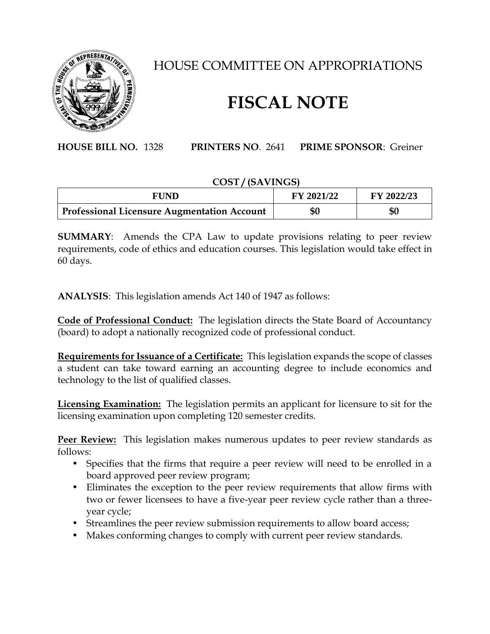

## HOUSE COMMITTEE ON APPROPRIATIONS

## **FISCAL NOTE**

**HOUSE BILL NO.** 1328 **PRINTERS NO**. 2641 **PRIME SPONSOR**: Greiner

## **COST / (SAVINGS)**

| FUND                                        | <b>FY 2021/22</b> | FY 2022/23 |
|---------------------------------------------|-------------------|------------|
| Professional Licensure Augmentation Account | \$0               | \$0        |

**SUMMARY**: Amends the CPA Law to update provisions relating to peer review requirements, code of ethics and education courses. This legislation would take effect in 60 days.

**ANALYSIS**: This legislation amends Act 140 of 1947 as follows:

**Code of Professional Conduct:** The legislation directs the State Board of Accountancy (board) to adopt a nationally recognized code of professional conduct.

**Requirements for Issuance of a Certificate:** This legislation expands the scope of classes a student can take toward earning an accounting degree to include economics and technology to the list of qualified classes.

**Licensing Examination:** The legislation permits an applicant for licensure to sit for the licensing examination upon completing 120 semester credits.

**Peer Review:** This legislation makes numerous updates to peer review standards as follows:

- Specifies that the firms that require a peer review will need to be enrolled in a board approved peer review program;
- Eliminates the exception to the peer review requirements that allow firms with two or fewer licensees to have a five-year peer review cycle rather than a threeyear cycle;
- Streamlines the peer review submission requirements to allow board access;
- Makes conforming changes to comply with current peer review standards.